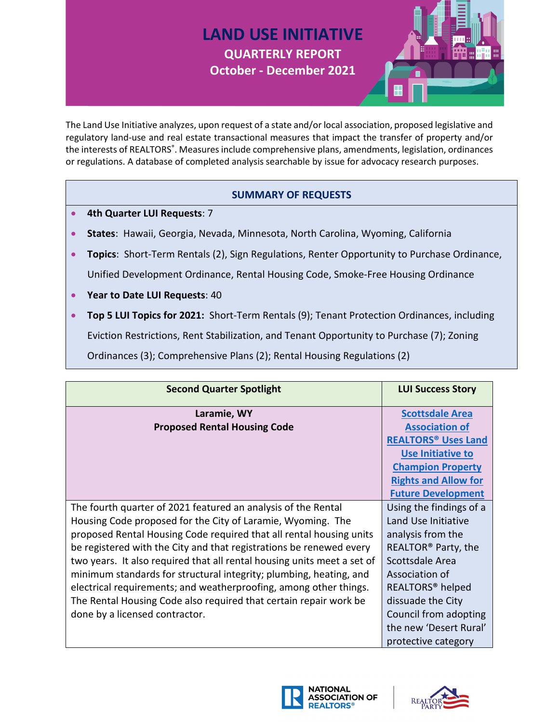## **LAND USE INITIATIVE QUARTERLY REPORT October - December 2021**



The Land Use Initiative analyzes, upon request of a state and/or local association, proposed legislative and regulatory land-use and real estate transactional measures that impact the transfer of property and/or the interests of REALTORS®. Measures include comprehensive plans, amendments, legislation, ordinances or regulations. A database of completed analysis searchable by issue for advocacy research purposes.

## **SUMMARY OF REQUESTS**

- **4th Quarter LUI Requests**: 7
- **States**: Hawaii, Georgia, Nevada, Minnesota, North Carolina, Wyoming, California
- **Topics**: Short-Term Rentals (2), Sign Regulations, Renter Opportunity to Purchase Ordinance, Unified Development Ordinance, Rental Housing Code, Smoke-Free Housing Ordinance
- **Year to Date LUI Requests**: 40
- **Top 5 LUI Topics for 2021:** Short-Term Rentals (9); Tenant Protection Ordinances, including Eviction Restrictions, Rent Stabilization, and Tenant Opportunity to Purchase (7); Zoning Ordinances (3); Comprehensive Plans (2); Rental Housing Regulations (2)

| <b>Second Quarter Spotlight</b>                                         | <b>LUI Success Story</b>              |
|-------------------------------------------------------------------------|---------------------------------------|
| Laramie, WY                                                             | <b>Scottsdale Area</b>                |
| <b>Proposed Rental Housing Code</b>                                     | <b>Association of</b>                 |
|                                                                         | <b>REALTORS<sup>®</sup> Uses Land</b> |
|                                                                         | Use Initiative to                     |
|                                                                         | <b>Champion Property</b>              |
|                                                                         | <b>Rights and Allow for</b>           |
|                                                                         | <b>Future Development</b>             |
| The fourth quarter of 2021 featured an analysis of the Rental           | Using the findings of a               |
| Housing Code proposed for the City of Laramie, Wyoming. The             | Land Use Initiative                   |
| proposed Rental Housing Code required that all rental housing units     | analysis from the                     |
| be registered with the City and that registrations be renewed every     | REALTOR <sup>®</sup> Party, the       |
| two years. It also required that all rental housing units meet a set of | Scottsdale Area                       |
| minimum standards for structural integrity; plumbing, heating, and      | Association of                        |
| electrical requirements; and weatherproofing, among other things.       | REALTORS <sup>®</sup> helped          |
| The Rental Housing Code also required that certain repair work be       | dissuade the City                     |
| done by a licensed contractor.                                          | Council from adopting                 |
|                                                                         | the new 'Desert Rural'                |
|                                                                         | protective category                   |